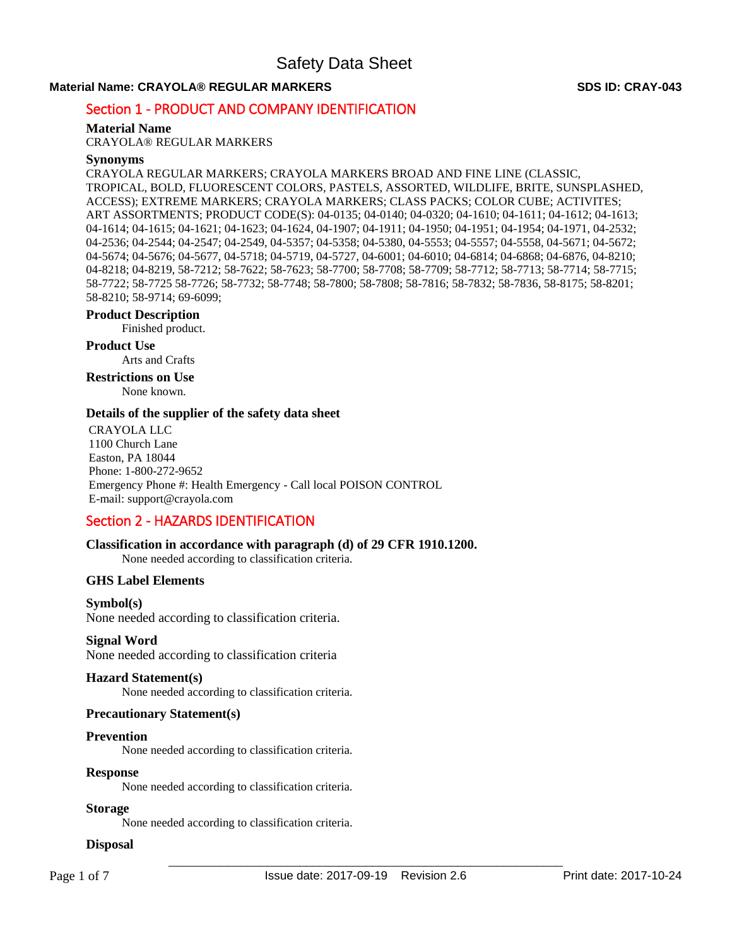## **Material Name: CRAYOLA® REGULAR MARKERS SDS ID: CRAY-043**

# Section 1 - PRODUCT AND COMPANY IDENTIFICATION

### **Material Name**

CRAYOLA® REGULAR MARKERS

### **Synonyms**

CRAYOLA REGULAR MARKERS; CRAYOLA MARKERS BROAD AND FINE LINE (CLASSIC, TROPICAL, BOLD, FLUORESCENT COLORS, PASTELS, ASSORTED, WILDLIFE, BRITE, SUNSPLASHED, ACCESS); EXTREME MARKERS; CRAYOLA MARKERS; CLASS PACKS; COLOR CUBE; ACTIVITES; ART ASSORTMENTS; PRODUCT CODE(S): 04-0135; 04-0140; 04-0320; 04-1610; 04-1611; 04-1612; 04-1613; 04-1614; 04-1615; 04-1621; 04-1623; 04-1624, 04-1907; 04-1911; 04-1950; 04-1951; 04-1954; 04-1971, 04-2532; 04-2536; 04-2544; 04-2547; 04-2549, 04-5357; 04-5358; 04-5380, 04-5553; 04-5557; 04-5558, 04-5671; 04-5672; 04-5674; 04-5676; 04-5677, 04-5718; 04-5719, 04-5727, 04-6001; 04-6010; 04-6814; 04-6868; 04-6876, 04-8210; 04-8218; 04-8219, 58-7212; 58-7622; 58-7623; 58-7700; 58-7708; 58-7709; 58-7712; 58-7713; 58-7714; 58-7715; 58-7722; 58-7725 58-7726; 58-7732; 58-7748; 58-7800; 58-7808; 58-7816; 58-7832; 58-7836, 58-8175; 58-8201; 58-8210; 58-9714; 69-6099;

# **Product Description**

# Finished product.

**Product Use**

Arts and Crafts

# **Restrictions on Use**

None known.

### **Details of the supplier of the safety data sheet**

CRAYOLA LLC 1100 Church Lane Easton, PA 18044 Phone: 1-800-272-9652 Emergency Phone #: Health Emergency - Call local POISON CONTROL E-mail: support@crayola.com

# Section 2 - HAZARDS IDENTIFICATION

### **Classification in accordance with paragraph (d) of 29 CFR 1910.1200.**

None needed according to classification criteria.

### **GHS Label Elements**

### **Symbol(s)**

None needed according to classification criteria.

### **Signal Word**

None needed according to classification criteria

### **Hazard Statement(s)**

None needed according to classification criteria.

### **Precautionary Statement(s)**

### **Prevention**

None needed according to classification criteria.

### **Response**

None needed according to classification criteria.

### **Storage**

None needed according to classification criteria.

# **Disposal**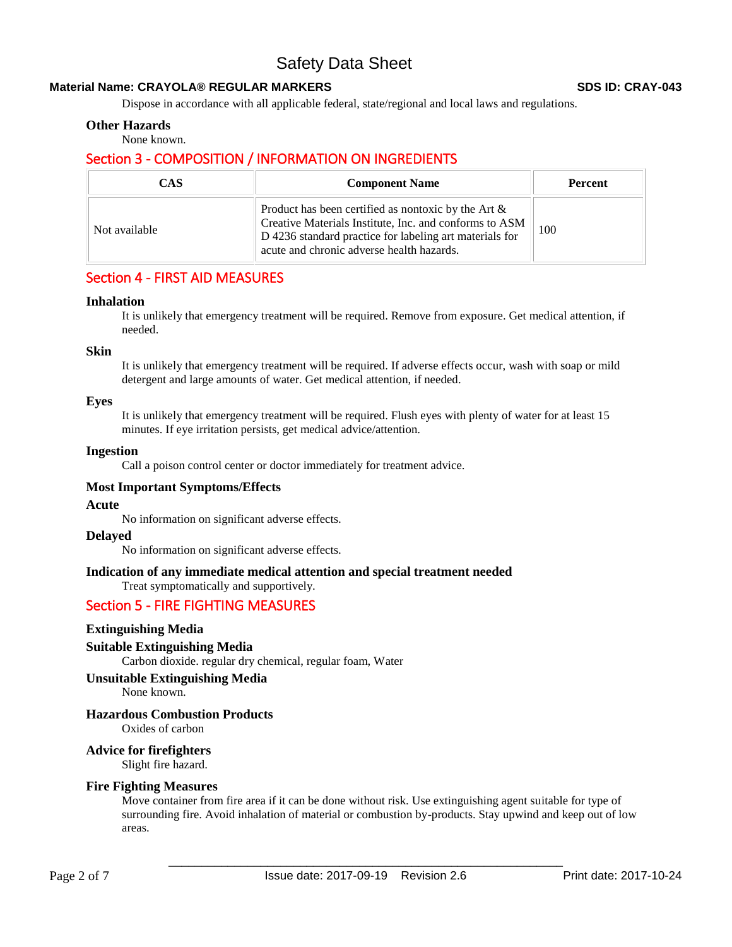### **Material Name: CRAYOLA® REGULAR MARKERS SDS ID: CRAY-043**

Dispose in accordance with all applicable federal, state/regional and local laws and regulations.

### **Other Hazards**

None known.

# Section 3 - COMPOSITION / INFORMATION ON INGREDIENTS

| <b>CAS</b>    | <b>Component Name</b>                                                                                                                                                                                                    | <b>Percent</b> |
|---------------|--------------------------------------------------------------------------------------------------------------------------------------------------------------------------------------------------------------------------|----------------|
| Not available | Product has been certified as nontoxic by the Art $\&$<br>Creative Materials Institute, Inc. and conforms to ASM<br>D 4236 standard practice for labeling art materials for<br>acute and chronic adverse health hazards. | 100            |

# Section 4 - FIRST AID MEASURES

### **Inhalation**

It is unlikely that emergency treatment will be required. Remove from exposure. Get medical attention, if needed.

### **Skin**

It is unlikely that emergency treatment will be required. If adverse effects occur, wash with soap or mild detergent and large amounts of water. Get medical attention, if needed.

### **Eyes**

It is unlikely that emergency treatment will be required. Flush eyes with plenty of water for at least 15 minutes. If eye irritation persists, get medical advice/attention.

### **Ingestion**

Call a poison control center or doctor immediately for treatment advice.

### **Most Important Symptoms/Effects**

### **Acute**

No information on significant adverse effects.

### **Delayed**

No information on significant adverse effects.

# **Indication of any immediate medical attention and special treatment needed**

Treat symptomatically and supportively.

# Section 5 - FIRE FIGHTING MEASURES

### **Extinguishing Media**

### **Suitable Extinguishing Media**

Carbon dioxide. regular dry chemical, regular foam, Water

### **Unsuitable Extinguishing Media**

None known.

### **Hazardous Combustion Products**

Oxides of carbon

# **Advice for firefighters**

Slight fire hazard.

### **Fire Fighting Measures**

Move container from fire area if it can be done without risk. Use extinguishing agent suitable for type of surrounding fire. Avoid inhalation of material or combustion by-products. Stay upwind and keep out of low areas.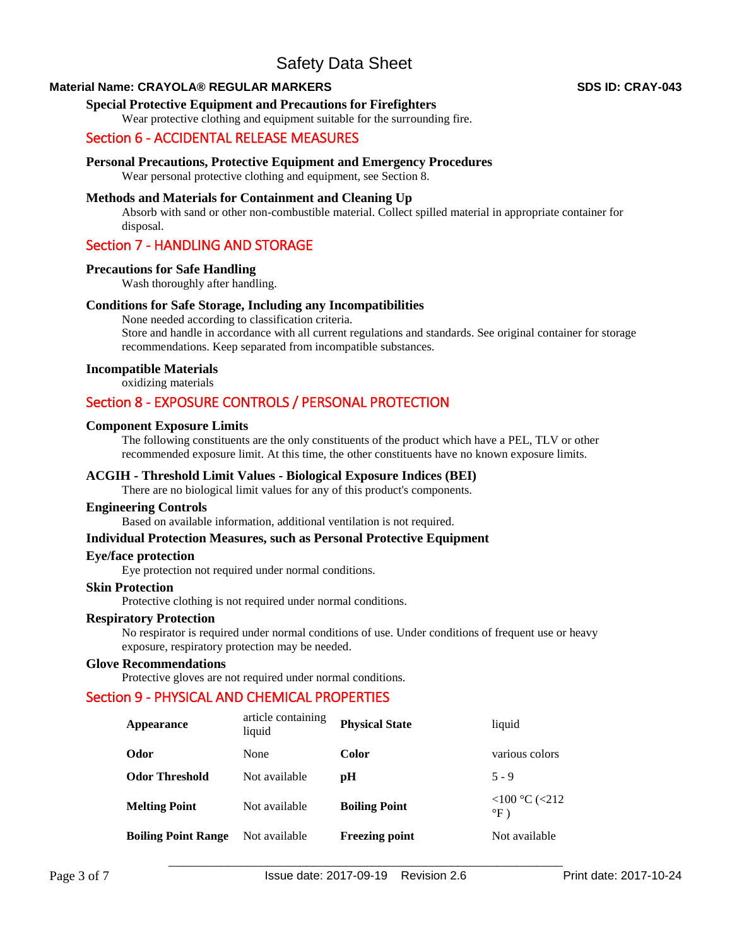### **Material Name: CRAYOLA® REGULAR MARKERS SDS ID: CRAY-043**

### **Special Protective Equipment and Precautions for Firefighters**

Wear protective clothing and equipment suitable for the surrounding fire.

# Section 6 - ACCIDENTAL RELEASE MEASURES

### **Personal Precautions, Protective Equipment and Emergency Procedures**

Wear personal protective clothing and equipment, see Section 8.

### **Methods and Materials for Containment and Cleaning Up**

Absorb with sand or other non-combustible material. Collect spilled material in appropriate container for disposal.

# Section 7 - HANDLING AND STORAGE

### **Precautions for Safe Handling**

Wash thoroughly after handling.

### **Conditions for Safe Storage, Including any Incompatibilities**

None needed according to classification criteria. Store and handle in accordance with all current regulations and standards. See original container for storage recommendations. Keep separated from incompatible substances.

### **Incompatible Materials**

oxidizing materials

# Section 8 - EXPOSURE CONTROLS / PERSONAL PROTECTION

### **Component Exposure Limits**

The following constituents are the only constituents of the product which have a PEL, TLV or other recommended exposure limit. At this time, the other constituents have no known exposure limits.

### **ACGIH - Threshold Limit Values - Biological Exposure Indices (BEI)**

There are no biological limit values for any of this product's components.

### **Engineering Controls**

Based on available information, additional ventilation is not required.

### **Individual Protection Measures, such as Personal Protective Equipment**

### **Eye/face protection**

Eye protection not required under normal conditions.

### **Skin Protection**  Protective clothing is not required under normal conditions.

### **Respiratory Protection**

No respirator is required under normal conditions of use. Under conditions of frequent use or heavy exposure, respiratory protection may be needed.

### **Glove Recommendations**

Protective gloves are not required under normal conditions.

# Section 9 - PHYSICAL AND CHEMICAL PROPERTIES

| Appearance                 | article containing<br>liquid | <b>Physical State</b> | liquid                             |
|----------------------------|------------------------------|-----------------------|------------------------------------|
| Odor                       | None                         | Color                 | various colors                     |
| <b>Odor Threshold</b>      | Not available                | рH                    | $5 - 9$                            |
| <b>Melting Point</b>       | Not available                | <b>Boiling Point</b>  | $<100$ °C ( $<212$ )<br>$\circ$ F) |
| <b>Boiling Point Range</b> | Not available                | <b>Freezing point</b> | Not available                      |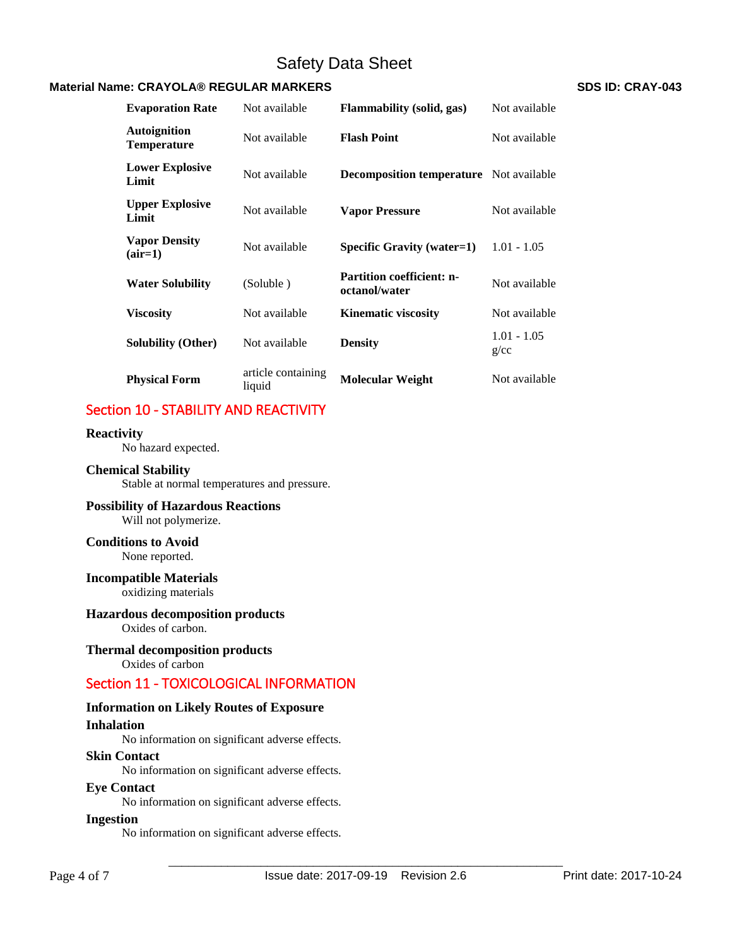## **Material Name: CRAYOLA® REGULAR MARKERS SDS ID: CRAY-043**

**Evaporation Rate** Not available **Flammability (solid, gas)** Not available **Autoignition Temperature** Not available **Flash Point** Not available **Lower Explosive Limit Limit** Not available **Decomposition temperature** Not available **Upper Explosive Limit Limit Not available Vapor Pressure Not available Limit Vapor Density (air=1)** Not available **Specific Gravity (water=1)** 1.01 - 1.05 **Water Solubility** (Soluble) **Partition coefficient: noctanol/water 1200** Not available **Viscosity Not available Kinematic viscosity Not available Solubility (Other)** Not available **Density** 1.01 - 1.05 g/cc **Physical Form** article containing<br>liquid **Molecular Weight Not available** 

# Section 10 - STABILITY AND REACTIVITY

# **Reactivity**

No hazard expected.

### **Chemical Stability**

Stable at normal temperatures and pressure.

# **Possibility of Hazardous Reactions**

Will not polymerize.

# **Conditions to Avoid**

None reported.

# **Incompatible Materials**

oxidizing materials

# **Hazardous decomposition products**

Oxides of carbon.

# **Thermal decomposition products**

Oxides of carbon

# Section 11 - TOXICOLOGICAL INFORMATION

# **Information on Likely Routes of Exposure**

# **Inhalation**

No information on significant adverse effects.

### **Skin Contact**

No information on significant adverse effects.

# **Eye Contact**

No information on significant adverse effects.

### **Ingestion**

No information on significant adverse effects.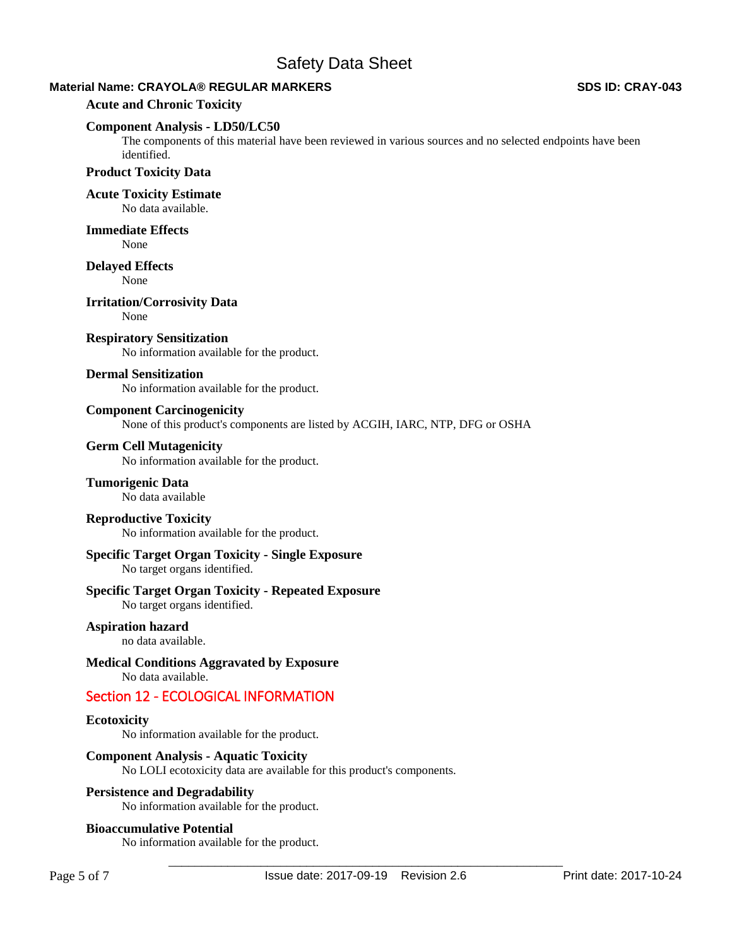# **Material Name: CRAYOLA® REGULAR MARKERS SDS ID: CRAY-043**

### **Acute and Chronic Toxicity**

### **Component Analysis - LD50/LC50**

The components of this material have been reviewed in various sources and no selected endpoints have been identified.

# **Product Toxicity Data**

**Acute Toxicity Estimate** 

No data available.

**Immediate Effects** 

None

### **Delayed Effects**

None

**Irritation/Corrosivity Data**  None

# **Respiratory Sensitization**

No information available for the product.

### **Dermal Sensitization**

No information available for the product.

### **Component Carcinogenicity**

None of this product's components are listed by ACGIH, IARC, NTP, DFG or OSHA

### **Germ Cell Mutagenicity**

No information available for the product.

# **Tumorigenic Data**

No data available

## **Reproductive Toxicity**

No information available for the product.

# **Specific Target Organ Toxicity - Single Exposure**

No target organs identified.

# **Specific Target Organ Toxicity - Repeated Exposure**

No target organs identified.

# **Aspiration hazard**

no data available.

# **Medical Conditions Aggravated by Exposure**

No data available.

# Section 12 - ECOLOGICAL INFORMATION

### **Ecotoxicity**

No information available for the product.

### **Component Analysis - Aquatic Toxicity**

No LOLI ecotoxicity data are available for this product's components.

### **Persistence and Degradability**

No information available for the product.

### **Bioaccumulative Potential**

No information available for the product.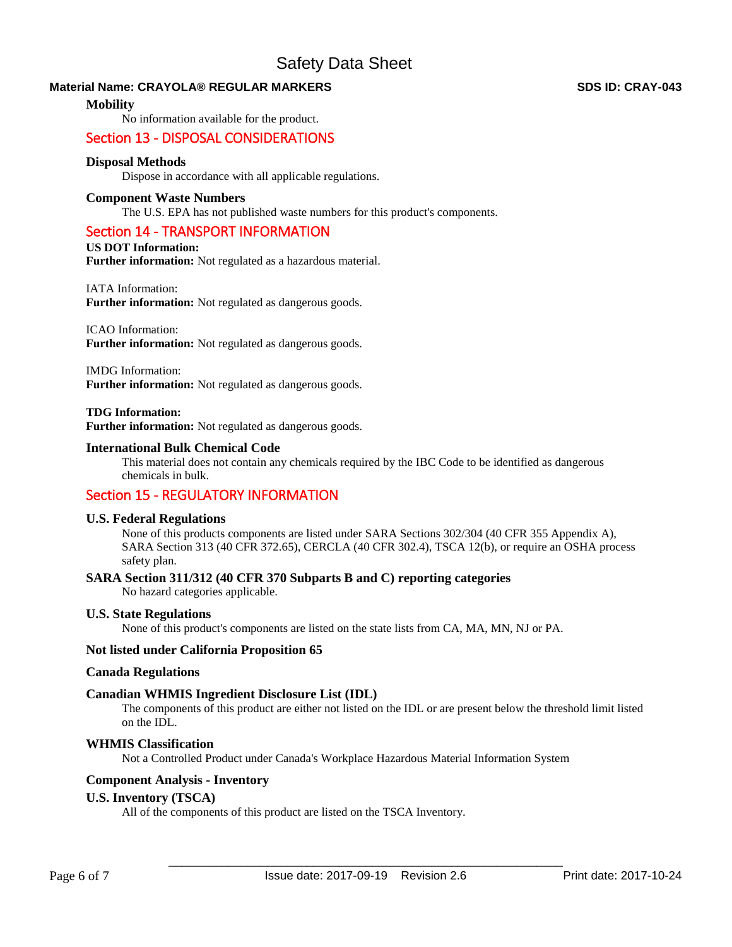# **Material Name: CRAYOLA® REGULAR MARKERS SDS ID: CRAY-043**

### **Mobility**

No information available for the product.

# Section 13 - DISPOSAL CONSIDERATIONS

## **Disposal Methods**

Dispose in accordance with all applicable regulations.

### **Component Waste Numbers**

The U.S. EPA has not published waste numbers for this product's components.

### Section 14 - TRANSPORT INFORMATION

### **US DOT Information:**

**Further information:** Not regulated as a hazardous material.

### IATA Information:

**Further information:** Not regulated as dangerous goods.

### ICAO Information:

**Further information:** Not regulated as dangerous goods.

### IMDG Information:

**Further information:** Not regulated as dangerous goods.

#### **TDG Information: Further information:** Not regulated as dangerous goods.

### **International Bulk Chemical Code**

This material does not contain any chemicals required by the IBC Code to be identified as dangerous chemicals in bulk.

# Section 15 - REGULATORY INFORMATION

### **U.S. Federal Regulations**

None of this products components are listed under SARA Sections 302/304 (40 CFR 355 Appendix A), SARA Section 313 (40 CFR 372.65), CERCLA (40 CFR 302.4), TSCA 12(b), or require an OSHA process safety plan.

### **SARA Section 311/312 (40 CFR 370 Subparts B and C) reporting categories**

No hazard categories applicable.

### **U.S. State Regulations**

None of this product's components are listed on the state lists from CA, MA, MN, NJ or PA.

### **Not listed under California Proposition 65**

### **Canada Regulations**

### **Canadian WHMIS Ingredient Disclosure List (IDL)**

The components of this product are either not listed on the IDL or are present below the threshold limit listed on the IDL.

# **WHMIS Classification**

Not a Controlled Product under Canada's Workplace Hazardous Material Information System

### **Component Analysis - Inventory**

### **U.S. Inventory (TSCA)**

All of the components of this product are listed on the TSCA Inventory.